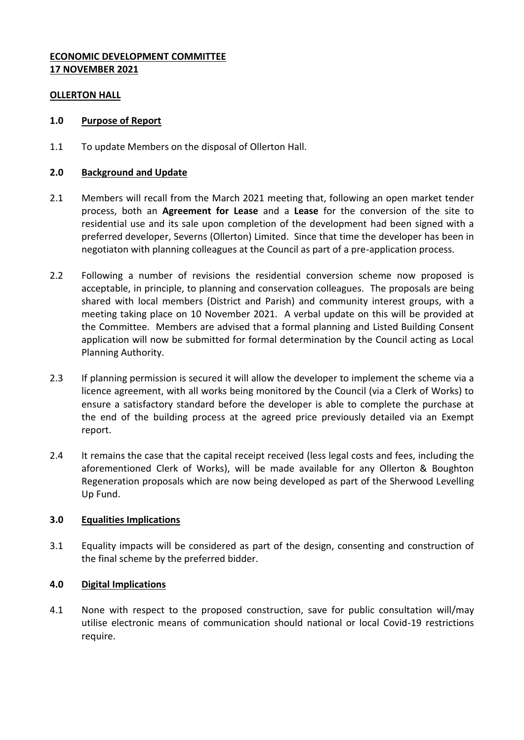# **ECONOMIC DEVELOPMENT COMMITTEE 17 NOVEMBER 2021**

### **OLLERTON HALL**

### **1.0 Purpose of Report**

1.1 To update Members on the disposal of Ollerton Hall.

## **2.0 Background and Update**

- 2.1 Members will recall from the March 2021 meeting that, following an open market tender process, both an **Agreement for Lease** and a **Lease** for the conversion of the site to residential use and its sale upon completion of the development had been signed with a preferred developer, Severns (Ollerton) Limited. Since that time the developer has been in negotiaton with planning colleagues at the Council as part of a pre-application process.
- 2.2 Following a number of revisions the residential conversion scheme now proposed is acceptable, in principle, to planning and conservation colleagues. The proposals are being shared with local members (District and Parish) and community interest groups, with a meeting taking place on 10 November 2021. A verbal update on this will be provided at the Committee. Members are advised that a formal planning and Listed Building Consent application will now be submitted for formal determination by the Council acting as Local Planning Authority.
- 2.3 If planning permission is secured it will allow the developer to implement the scheme via a licence agreement, with all works being monitored by the Council (via a Clerk of Works) to ensure a satisfactory standard before the developer is able to complete the purchase at the end of the building process at the agreed price previously detailed via an Exempt report.
- 2.4 It remains the case that the capital receipt received (less legal costs and fees, including the aforementioned Clerk of Works), will be made available for any Ollerton & Boughton Regeneration proposals which are now being developed as part of the Sherwood Levelling Up Fund.

## **3.0 Equalities Implications**

3.1 Equality impacts will be considered as part of the design, consenting and construction of the final scheme by the preferred bidder.

## **4.0 Digital Implications**

4.1 None with respect to the proposed construction, save for public consultation will/may utilise electronic means of communication should national or local Covid-19 restrictions require.